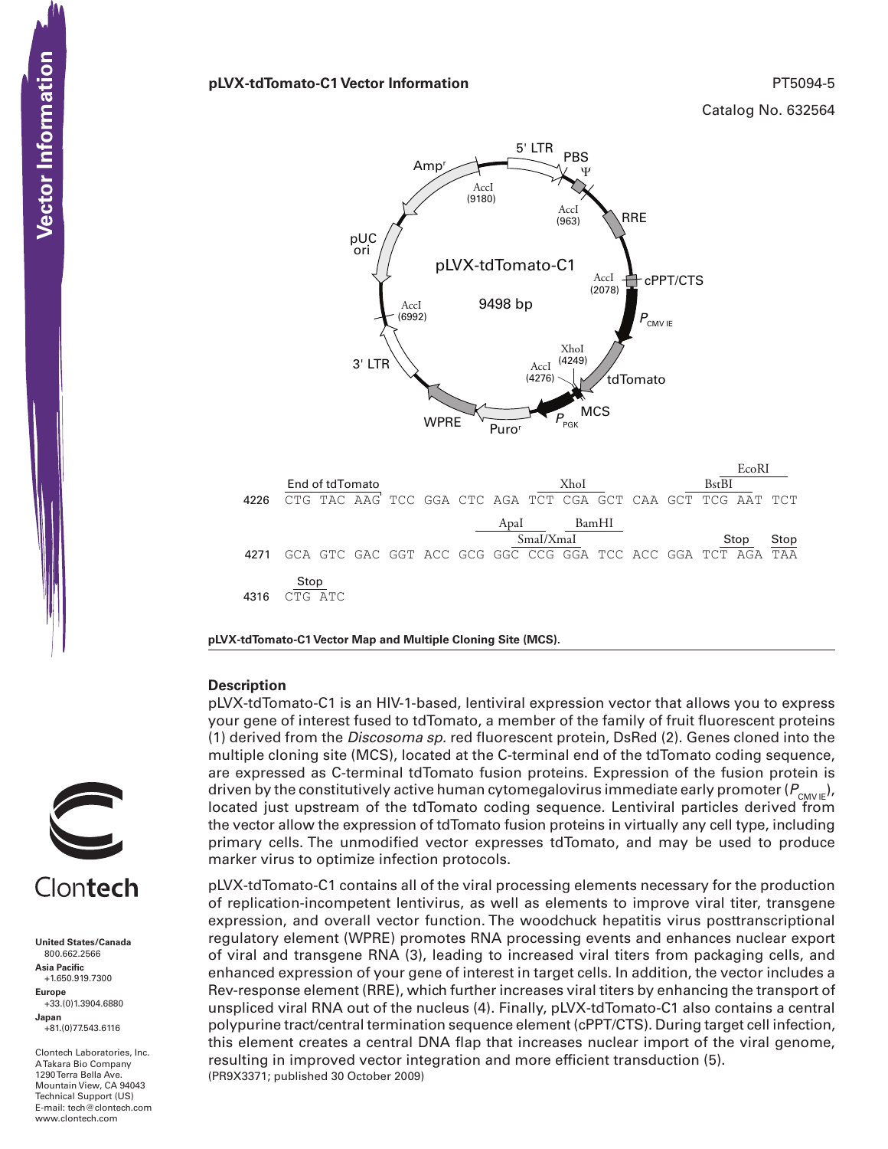## **pLVX-tdTomato-C1 Vector Information** PT5094-5

Catalog No. 632564



**pLVX-tdTomato-C1 Vector Map and Multiple Cloning Site (MCS).**

# **Description**

pLVX-tdTomato-C1 is an HIV-1-based, lentiviral expression vector that allows you to express your gene of interest fused to tdTomato, a member of the family of fruit fluorescent proteins (1) derived from the *Discosoma sp.* red fluorescent protein, DsRed (2). Genes cloned into the multiple cloning site (MCS), located at the C-terminal end of the tdTomato coding sequence, are expressed as C-terminal tdTomato fusion proteins. Expression of the fusion protein is driven by the constitutively active human cytomegalovirus immediate early promoter ( $P_{\text{CMVE}}$ ), located just upstream of the tdTomato coding sequence. Lentiviral particles derived from the vector allow the expression of tdTomato fusion proteins in virtually any cell type, including primary cells. The unmodified vector expresses tdTomato, and may be used to produce marker virus to optimize infection protocols.

(PR9X3371; published 30 October 2009) pLVX-tdTomato-C1 contains all of the viral processing elements necessary for the production of replication-incompetent lentivirus, as well as elements to improve viral titer, transgene expression, and overall vector function. The woodchuck hepatitis virus posttranscriptional regulatory element (WPRE) promotes RNA processing events and enhances nuclear export of viral and transgene RNA (3), leading to increased viral titers from packaging cells, and enhanced expression of your gene of interest in target cells. In addition, the vector includes a Rev-response element (RRE), which further increases viral titers by enhancing the transport of unspliced viral RNA out of the nucleus (4). Finally, pLVX-tdTomato-C1 also contains a central polypurine tract/central termination sequence element (cPPT/CTS). During target cell infection, this element creates a central DNA flap that increases nuclear import of the viral genome, resulting in improved vector integration and more efficient transduction (5).



# Clontech

**United States/Canada** 800.662.2566 **Asia Pacific** +1.650.919.7300 **Europe** +33.(0)1.3904.6880 **Japan** +81.(0)77.543.6116 **CONTECTS**<br>
United States/Cana<br>
800.662.2566<br>
Asia Pacific<br>
+1.650.919.7300<br>
Happe Europe<br>
+33.(0)1.3904.688<br>
Japan<br>
-81.(0)77.543.6116<br>
A Takara Bio Compa<br>
Mountain View, CA<br>
Hechnical Support (<br>
Hechnical Support (<br>
Hech

Clontech Laboratories, Inc. A Takara Bio Company 1290 Terra Bella Ave. Mountain View, CA 94043 Technical Support (US) E-mail: tech@clontech.com<br>www.clontech.com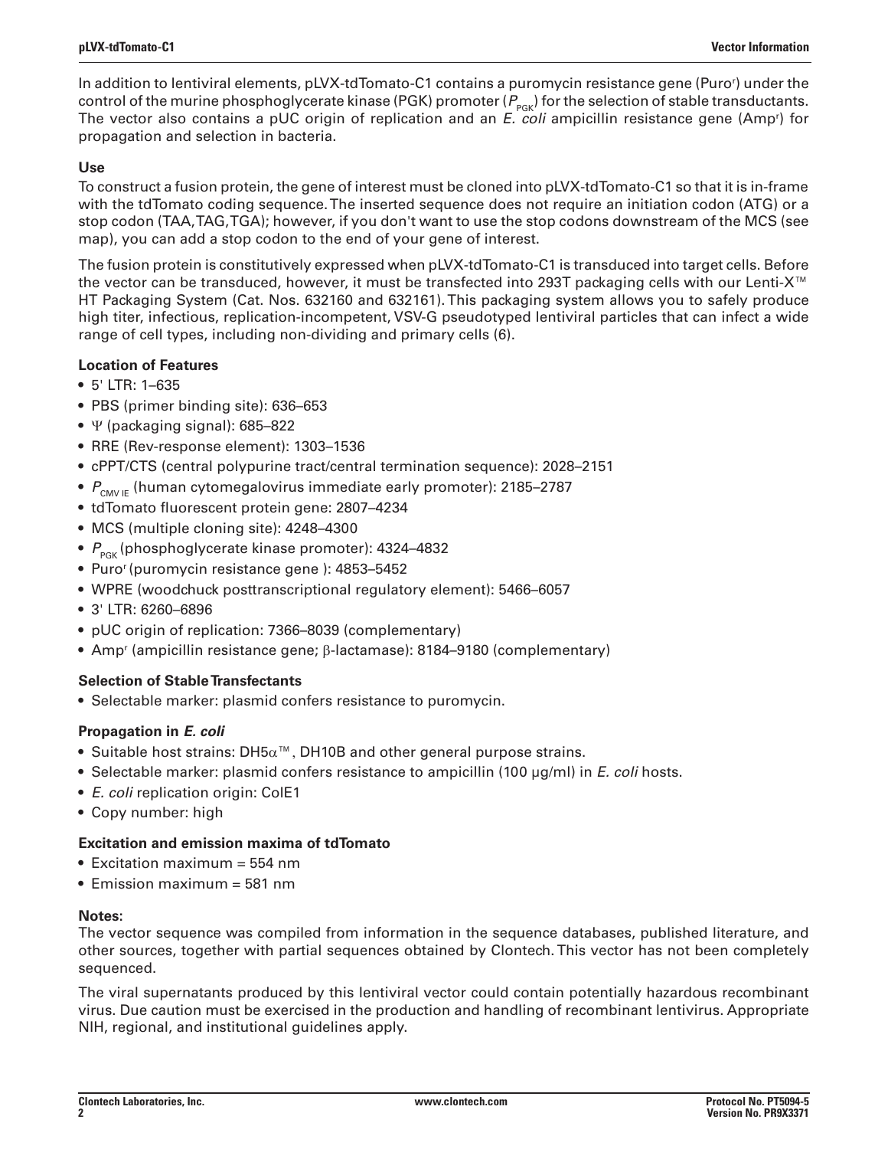In addition to lentiviral elements, pLVX-tdTomato-C1 contains a puromycin resistance gene (Puror ) under the control of the murine phosphoglycerate kinase (PGK) promoter ( $P_{PGR}$ ) for the selection of stable transductants. The vector also contains a pUC origin of replication and an *E. coli* ampicillin resistance gene (Ampr ) for propagation and selection in bacteria.

# **Use**

To construct a fusion protein, the gene of interest must be cloned into pLVX-tdTomato-C1 so that it is in-frame with the tdTomato coding sequence. The inserted sequence does not require an initiation codon (ATG) or a stop codon (TAA, TAG, TGA); however, if you don't want to use the stop codons downstream of the MCS (see map), you can add a stop codon to the end of your gene of interest.

The fusion protein is constitutively expressed when pLVX-tdTomato-C1 is transduced into target cells. Before the vector can be transduced, however, it must be transfected into 293T packaging cells with our Lenti-X™ HT Packaging System (Cat. Nos. 632160 and 632161). This packaging system allows you to safely produce high titer, infectious, replication-incompetent, VSV-G pseudotyped lentiviral particles that can infect a wide range of cell types, including non-dividing and primary cells (6).

# **Location of Features**

- • 5' LTR: 1–635
- PBS (primer binding site): 636-653
- $\Psi$  (packaging signal): 685–822
- • RRE (Rev-response element): 1303–1536
- • cPPT/CTS (central polypurine tract/central termination sequence): 2028–2151
- $P_{\text{CMVF}}$  (human cytomegalovirus immediate early promoter): 2185–2787
- tdTomato fluorescent protein gene: 2807-4234
- MCS (multiple cloning site): 4248-4300
- $P_{\text{PGE}}$  (phosphoglycerate kinase promoter): 4324–4832
- Puro<sup>r</sup> (puromycin resistance gene ): 4853-5452
- WPRE (woodchuck posttranscriptional regulatory element): 5466–6057
- • 3' LTR: 6260–6896
- pUC origin of replication: 7366–8039 (complementary)
- Amp<sup>r</sup> (ampicillin resistance gene; β-lactamase): 8184–9180 (complementary)

# **Selection of Stable Transfectants**

• Selectable marker: plasmid confers resistance to puromycin.

# **Propagation in** *E. coli*

- Suitable host strains: DH5 $\alpha^{m}$ , DH10B and other general purpose strains.
- • Selectable marker: plasmid confers resistance to ampicillin (100 µg/ml) in *E. coli* hosts.
- *E. coli* replication origin: ColE1
- • Copy number: high

# **Excitation and emission maxima of tdTomato**

- Excitation maximum  $=$  554 nm
- Emission maximum = 581 nm

# **Notes:**

The vector sequence was compiled from information in the sequence databases, published literature, and other sources, together with partial sequences obtained by Clontech. This vector has not been completely sequenced.

The viral supernatants produced by this lentiviral vector could contain potentially hazardous recombinant virus. Due caution must be exercised in the production and handling of recombinant lentivirus. Appropriate NIH, regional, and institutional guidelines apply.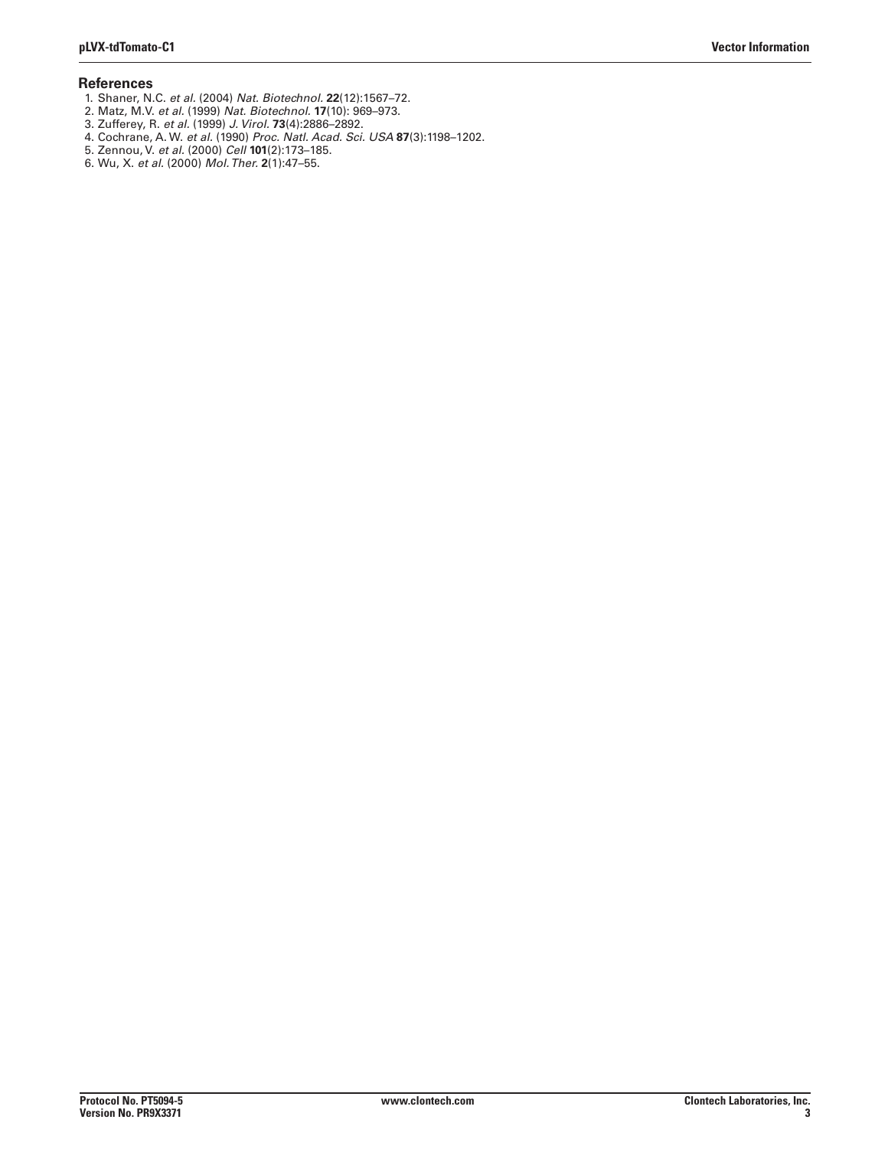### **References**

- 1. Shaner, N.C. *et al.* (2004) *Nat. Biotechnol.* **22**(12):1567–72.
- 2. Matz, M.V. *et al.* (1999) *Nat. Biotechnol.* **17**(10): 969–973.
- 3. Zufferey, R. *et al.* (1999) *J. Virol.* **73**(4):2886–2892.
- 4. Cochrane, A. W. *et al.* (1990) *Proc. Natl. Acad. Sci. USA* **87**(3):1198–1202.
- 5. Zennou, V. *et al.* (2000) *Cell* **101**(2):173–185.
- 6. Wu, X. *et al.* (2000) *Mol. Ther.* **2**(1):47–55.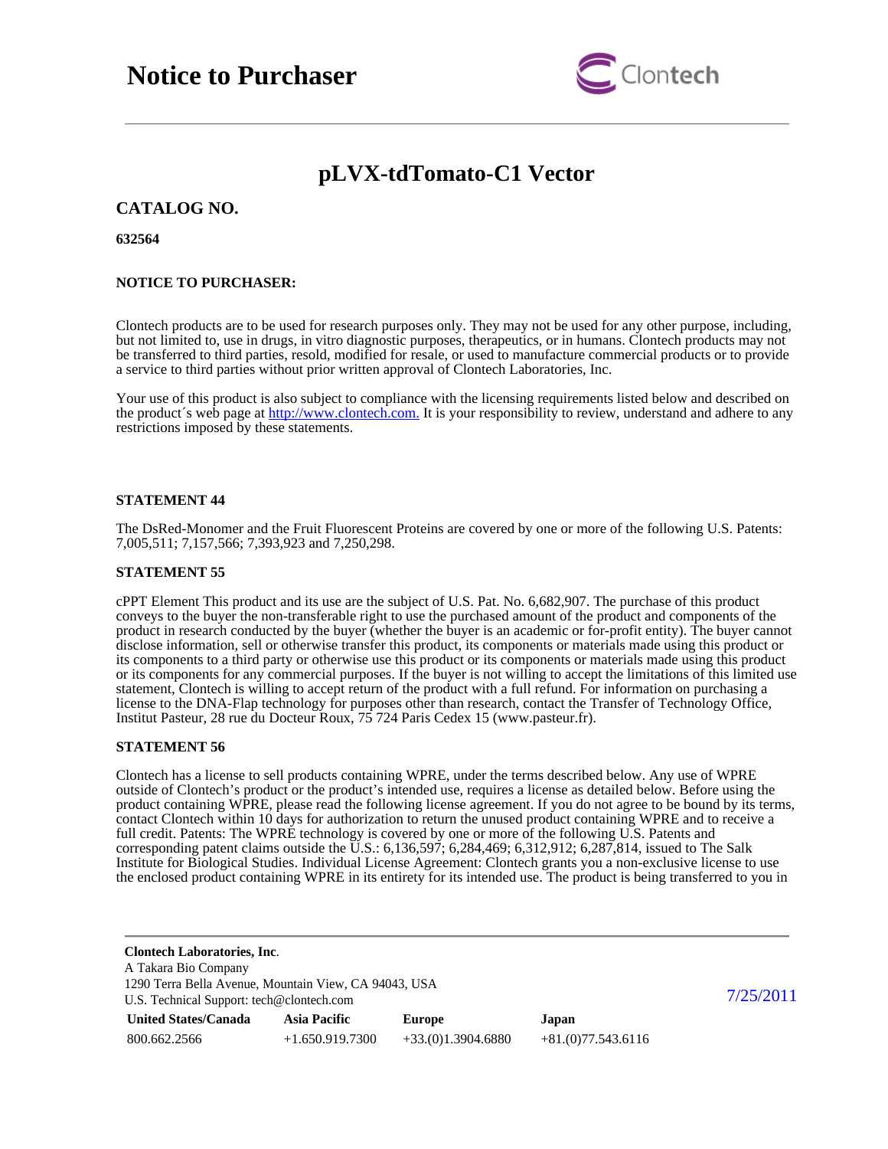

# **pLVX-tdTomato-C1 Vector**

# **CATALOG NO.**

## **632564**

## **NOTICE TO PURCHASER:**

Clontech products are to be used for research purposes only. They may not be used for any other purpose, including, but not limited to, use in drugs, in vitro diagnostic purposes, therapeutics, or in humans. Clontech products may not be transferred to third parties, resold, modified for resale, or used to manufacture commercial products or to provide a service to third parties without prior written approval of Clontech Laboratories, Inc.

Your use of this product is also subject to compliance with the licensing requirements listed below and described on the product's web page at [http://www.clontech.com.](http://www.clontech.com/) It is your responsibility to review, understand and adhere to any restrictions imposed by these statements.

### **STATEMENT 44**

The DsRed-Monomer and the Fruit Fluorescent Proteins are covered by one or more of the following U.S. Patents: 7,005,511; 7,157,566; 7,393,923 and 7,250,298.

### **STATEMENT 55**

cPPT Element This product and its use are the subject of U.S. Pat. No. 6,682,907. The purchase of this product conveys to the buyer the non-transferable right to use the purchased amount of the product and components of the product in research conducted by the buyer (whether the buyer is an academic or for-profit entity). The buyer cannot disclose information, sell or otherwise transfer this product, its components or materials made using this product or its components to a third party or otherwise use this product or its components or materials made using this product or its components for any commercial purposes. If the buyer is not willing to accept the limitations of this limited use statement, Clontech is willing to accept return of the product with a full refund. For information on purchasing a license to the DNA-Flap technology for purposes other than research, contact the Transfer of Technology Office, Institut Pasteur, 28 rue du Docteur Roux, 75 724 Paris Cedex 15 (www.pasteur.fr).

### **STATEMENT 56**

Clontech has a license to sell products containing WPRE, under the terms described below. Any use of WPRE outside of Clontech's product or the product's intended use, requires a license as detailed below. Before using the product containing WPRE, please read the following license agreement. If you do not agree to be bound by its terms, contact Clontech within 10 days for authorization to return the unused product containing WPRE and to receive a full credit. Patents: The WPRE technology is covered by one or more of the following U.S. Patents and corresponding patent claims outside the  $\tilde{U}.S.: 6,136,597; 6,284,469; 6,312,912; 6,287,814$ , issued to The Salk Institute for Biological Studies. Individual License Agreement: Clontech grants you a non-exclusive license to use the enclosed product containing WPRE in its entirety for its intended use. The product is being transferred to you in

| <b>Clontech Laboratories, Inc.</b><br>A Takara Bio Company                                         |                     |                     |                     |  |
|----------------------------------------------------------------------------------------------------|---------------------|---------------------|---------------------|--|
| 1290 Terra Bella Avenue, Mountain View, CA 94043, USA<br>U.S. Technical Support: tech@clontech.com | 7/25/2011           |                     |                     |  |
| <b>United States/Canada</b>                                                                        | <b>Asia Pacific</b> | <b>Europe</b>       | Japan               |  |
| 800.662.2566                                                                                       | $+1.650.919.7300$   | $+33(0)1.3904.6880$ | $+81(0)77.543.6116$ |  |